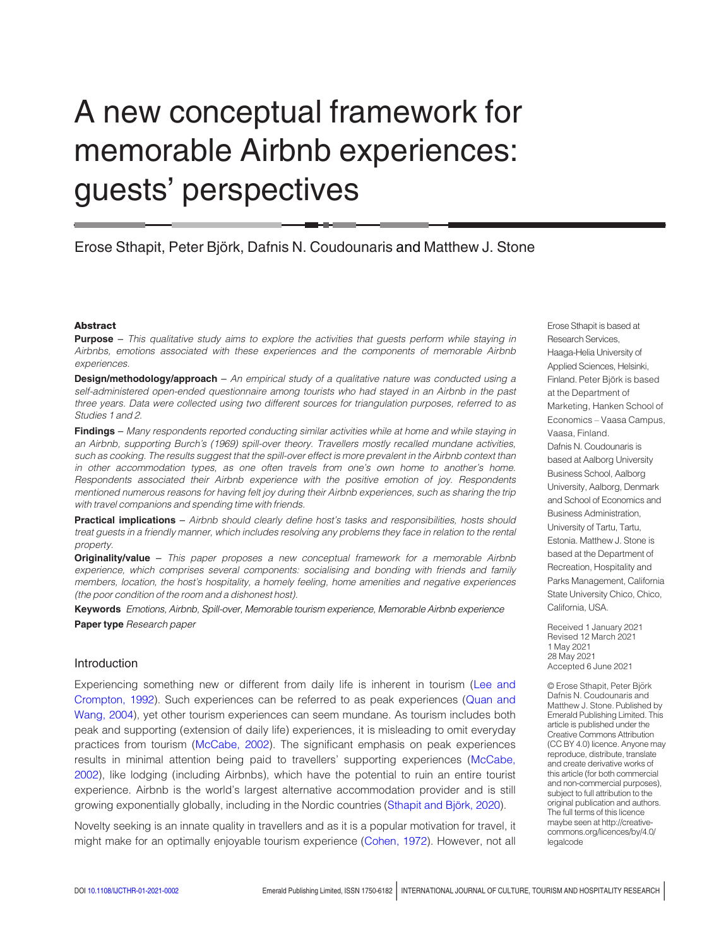# A new conceptual framework for memorable Airbnb experiences: guests' perspectives

# Erose Sthapit, Peter Björk, Dafnis N. Coudounaris and Matthew J. Stone

#### Abstract

Purpose - This qualitative study aims to explore the activities that guests perform while staying in Airbnbs, emotions associated with these experiences and the components of memorable Airbnb experiences.

**Design/methodology/approach** – An empirical study of a qualitative nature was conducted using a self-administered open-ended questionnaire among tourists who had stayed in an Airbnb in the past three years. Data were collected using two different sources for triangulation purposes, referred to as Studies 1 and 2.

Findings - Many respondents reported conducting similar activities while at home and while staying in an Airbnb, supporting Burch's (1969) spill-over theory. Travellers mostly recalled mundane activities, such as cooking. The results suggest that the spill-over effect is more prevalent in the Airbnb context than in other accommodation types, as one often travels from one's own home to another's home. Respondents associated their Airbnb experience with the positive emotion of joy. Respondents mentioned numerous reasons for having felt joy during their Airbnb experiences, such as sharing the trip with travel companions and spending time with friends.

Practical implications – Airbnb should clearly define host's tasks and responsibilities, hosts should treat guests in a friendly manner, which includes resolving any problems they face in relation to the rental property.

**Originality/value** – This paper proposes a new conceptual framework for a memorable Airbnb experience, which comprises several components: socialising and bonding with friends and family members, location, the host's hospitality, a homely feeling, home amenities and negative experiences (the poor condition of the room and a dishonest host).

Keywords Emotions, Airbnb, Spill-over, Memorable tourism experience, Memorable Airbnb experience Paper type Research paper

#### Introduction

Experiencing something new or different from daily life is inherent in tourism ([Lee and](#page-10-0) [Crompton, 1992](#page-10-0)). Such experiences can be referred to as peak experiences [\(Quan and](#page-10-1) [Wang, 2004](#page-10-1)), yet other tourism experiences can seem mundane. As tourism includes both peak and supporting (extension of daily life) experiences, it is misleading to omit everyday practices from tourism [\(McCabe, 2002\)](#page-10-2). The significant emphasis on peak experiences results in minimal attention being paid to travellers' supporting experiences [\(McCabe,](#page-10-2) [2002\)](#page-10-2), like lodging (including Airbnbs), which have the potential to ruin an entire tourist experience. Airbnb is the world's largest alternative accommodation provider and is still growing exponentially globally, including in the Nordic countries (Sthapit and Björk, 2020).

Novelty seeking is an innate quality in travellers and as it is a popular motivation for travel, it might make for an optimally enjoyable tourism experience ([Cohen, 1972](#page-9-0)). However, not all Erose Sthapit is based at Research Services, Haaga-Helia University of Applied Sciences, Helsinki, Finland. Peter Björk is based at the Department of Marketing, Hanken School of Economics – Vaasa Campus, Vaasa, Finland. Dafnis N. Coudounaris is based at Aalborg University Business School, Aalborg University, Aalborg, Denmark and School of Economics and Business Administration, University of Tartu, Tartu, Estonia. Matthew J. Stone is based at the Department of Recreation, Hospitality and Parks Management, California State University Chico, Chico, California, USA.

Received 1 January 2021 Revised 12 March 2021 1 May 2021 28 May 2021 Accepted 6 June 2021

© Erose Sthapit, Peter Björk Dafnis N. Coudounaris and Matthew J. Stone. Published by Emerald Publishing Limited. This article is published under the Creative Commons Attribution (CC BY 4.0) licence. Anyone may reproduce, distribute, translate and create derivative works of this article (for both commercial and non-commercial purposes), subject to full attribution to the original publication and authors. The full terms of this licence maybe seen at http://creativecommons.org/licences/by/4.0/ legalcode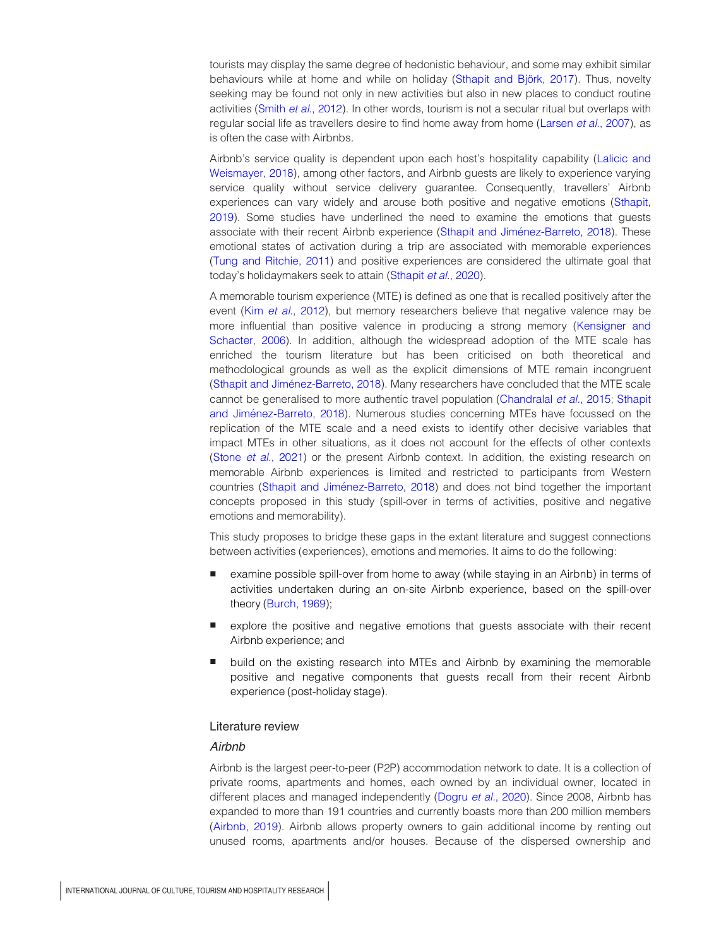tourists may display the same degree of hedonistic behaviour, and some may exhibit similar behaviours while at home and while on holiday (Sthapit and Björk, 2017). Thus, novelty seeking may be found not only in new activities but also in new places to conduct routine activities (Smith et al.[, 2012\)](#page-10-3). In other words, tourism is not a secular ritual but overlaps with regular social life as travellers desire to find home away from home [\(Larsen](#page-10-4) et al., 2007), as is often the case with Airbnbs.

Airbnb's service quality is dependent upon each host's hospitality capability ([Lalicic and](#page-10-5) [Weismayer, 2018\)](#page-10-5), among other factors, and Airbnb guests are likely to experience varying service quality without service delivery guarantee. Consequently, travellers' Airbnb experiences can vary widely and arouse both positive and negative emotions ([Sthapit,](#page-10-6) [2019\)](#page-10-6). Some studies have underlined the need to examine the emotions that guests associate with their recent Airbnb experience (Sthapit and Jiménez-Barreto, 2018). These emotional states of activation during a trip are associated with memorable experiences [\(Tung and Ritchie, 2011\)](#page-11-3) and positive experiences are considered the ultimate goal that today's holidaymakers seek to attain [\(Sthapit](#page-11-4) et al., 2020).

A memorable tourism experience (MTE) is defined as one that is recalled positively after the event (Kim et al.[, 2012](#page-10-7)), but memory researchers believe that negative valence may be more influential than positive valence in producing a strong memory [\(Kensigner and](#page-10-8) [Schacter, 2006](#page-10-8)). In addition, although the widespread adoption of the MTE scale has enriched the tourism literature but has been criticised on both theoretical and methodological grounds as well as the explicit dimensions of MTE remain incongruent [\(Sthapit and Jime´nez-Barreto, 2018](#page-11-2)). Many researchers have concluded that the MTE scale cannot be generalised to more authentic travel population [\(Chandralal](#page-9-1) et al., 2015; [Sthapit](#page-11-2) and Jiménez-Barreto, 2018). Numerous studies concerning MTEs have focussed on the replication of the MTE scale and a need exists to identify other decisive variables that impact MTEs in other situations, as it does not account for the effects of other contexts (Stone et al.[, 2021\)](#page-11-5) or the present Airbnb context. In addition, the existing research on memorable Airbnb experiences is limited and restricted to participants from Western countries (Sthapit and Jiménez-Barreto, 2018) and does not bind together the important concepts proposed in this study (spill-over in terms of activities, positive and negative emotions and memorability).

This study proposes to bridge these gaps in the extant literature and suggest connections between activities (experiences), emotions and memories. It aims to do the following:

- examine possible spill-over from home to away (while staying in an Airbnb) in terms of activities undertaken during an on-site Airbnb experience, based on the spill-over theory ([Burch, 1969](#page-9-2));
- explore the positive and negative emotions that guests associate with their recent Airbnb experience; and
- build on the existing research into MTEs and Airbnb by examining the memorable positive and negative components that guests recall from their recent Airbnb experience (post-holiday stage).

#### Literature review

# **Airbnb**

Airbnb is the largest peer-to-peer (P2P) accommodation network to date. It is a collection of private rooms, apartments and homes, each owned by an individual owner, located in different places and managed independently (Dogru et al.[, 2020](#page-9-3)). Since 2008, Airbnb has expanded to more than 191 countries and currently boasts more than 200 million members [\(Airbnb, 2019\)](#page-9-4). Airbnb allows property owners to gain additional income by renting out unused rooms, apartments and/or houses. Because of the dispersed ownership and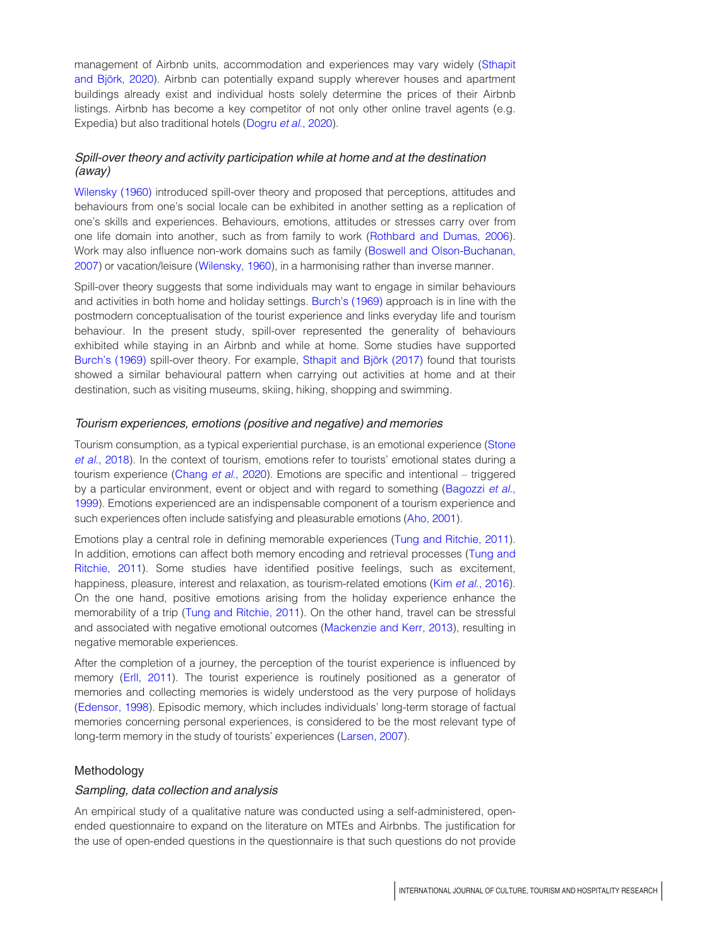management of Airbnb units, accommodation and experiences may vary widely [\(Sthapit](#page-11-0) and Björk, 2020). Airbnb can potentially expand supply wherever houses and apartment buildings already exist and individual hosts solely determine the prices of their Airbnb listings. Airbnb has become a key competitor of not only other online travel agents (e.g. Expedia) but also traditional hotels [\(Dogru](#page-9-3) et al., 2020).

# Spill-over theory and activity participation while at home and at the destination (away)

[Wilensky \(1960\)](#page-11-6) introduced spill-over theory and proposed that perceptions, attitudes and behaviours from one's social locale can be exhibited in another setting as a replication of one's skills and experiences. Behaviours, emotions, attitudes or stresses carry over from one life domain into another, such as from family to work [\(Rothbard and Dumas, 2006](#page-10-9)). Work may also influence non-work domains such as family [\(Boswell and Olson-Buchanan,](#page-9-5) [2007\)](#page-9-5) or vacation/leisure [\(Wilensky, 1960](#page-11-6)), in a harmonising rather than inverse manner.

Spill-over theory suggests that some individuals may want to engage in similar behaviours and activities in both home and holiday settings. [Burch's \(1969\)](#page-9-2) approach is in line with the postmodern conceptualisation of the tourist experience and links everyday life and tourism behaviour. In the present study, spill-over represented the generality of behaviours exhibited while staying in an Airbnb and while at home. Some studies have supported [Burch's \(1969\)](#page-9-2) spill-over theory. For example, Sthapit and Björk (2017) found that tourists showed a similar behavioural pattern when carrying out activities at home and at their destination, such as visiting museums, skiing, hiking, shopping and swimming.

#### Tourism experiences, emotions (positive and negative) and memories

Tourism consumption, as a typical experiential purchase, is an emotional experience [\(Stone](#page-11-7) et al.[, 2018\)](#page-11-7). In the context of tourism, emotions refer to tourists' emotional states during a tourism experience ([Chang](#page-9-6) et al., 2020). Emotions are specific and intentional – triggered by a particular environment, event or object and with regard to something [\(Bagozzi](#page-9-7) et al., [1999\)](#page-9-7). Emotions experienced are an indispensable component of a tourism experience and such experiences often include satisfying and pleasurable emotions [\(Aho, 2001](#page-9-8)).

Emotions play a central role in defining memorable experiences ([Tung and Ritchie, 2011\)](#page-11-3). In addition, emotions can affect both memory encoding and retrieval processes ([Tung and](#page-11-3) [Ritchie, 2011](#page-11-3)). Some studies have identified positive feelings, such as excitement, happiness, pleasure, interest and relaxation, as tourism-related emotions (Kim et al.[, 2016](#page-10-10)). On the one hand, positive emotions arising from the holiday experience enhance the memorability of a trip [\(Tung and Ritchie, 2011](#page-11-3)). On the other hand, travel can be stressful and associated with negative emotional outcomes [\(Mackenzie and Kerr, 2013](#page-10-11)), resulting in negative memorable experiences.

After the completion of a journey, the perception of the tourist experience is influenced by memory [\(Erll, 2011\)](#page-9-9). The tourist experience is routinely positioned as a generator of memories and collecting memories is widely understood as the very purpose of holidays ([Edensor, 1998\)](#page-9-10). Episodic memory, which includes individuals' long-term storage of factual memories concerning personal experiences, is considered to be the most relevant type of long-term memory in the study of tourists' experiences [\(Larsen, 2007\)](#page-10-12).

#### Methodology

#### Sampling, data collection and analysis

An empirical study of a qualitative nature was conducted using a self-administered, openended questionnaire to expand on the literature on MTEs and Airbnbs. The justification for the use of open-ended questions in the questionnaire is that such questions do not provide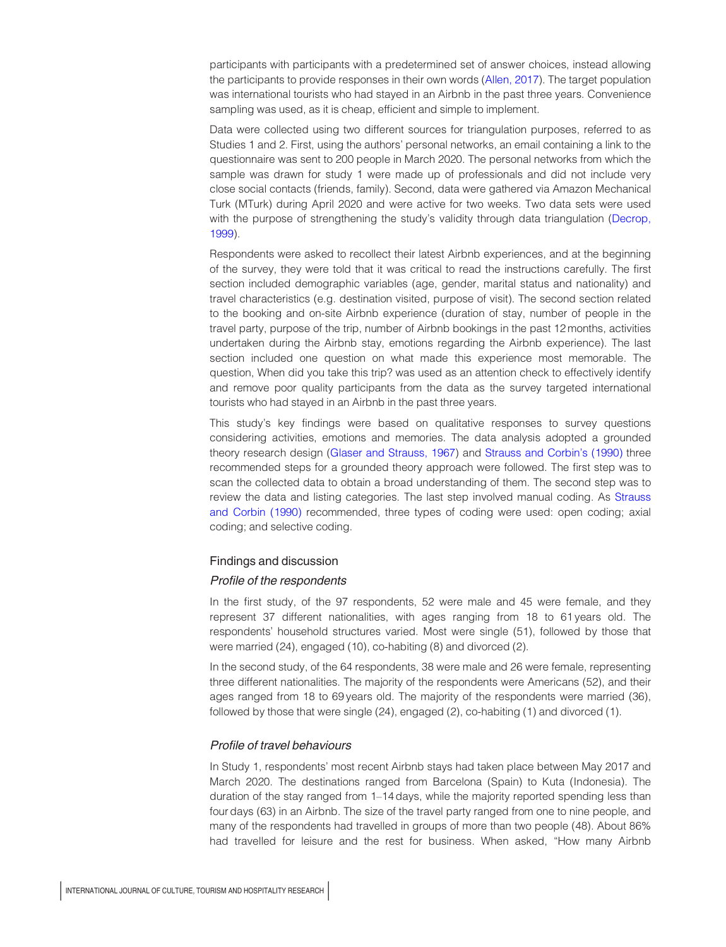participants with participants with a predetermined set of answer choices, instead allowing the participants to provide responses in their own words ([Allen, 2017\)](#page-9-11). The target population was international tourists who had stayed in an Airbnb in the past three years. Convenience sampling was used, as it is cheap, efficient and simple to implement.

Data were collected using two different sources for triangulation purposes, referred to as Studies 1 and 2. First, using the authors' personal networks, an email containing a link to the questionnaire was sent to 200 people in March 2020. The personal networks from which the sample was drawn for study 1 were made up of professionals and did not include very close social contacts (friends, family). Second, data were gathered via Amazon Mechanical Turk (MTurk) during April 2020 and were active for two weeks. Two data sets were used with the purpose of strengthening the study's validity through data triangulation ([Decrop,](#page-9-12) [1999\)](#page-9-12).

Respondents were asked to recollect their latest Airbnb experiences, and at the beginning of the survey, they were told that it was critical to read the instructions carefully. The first section included demographic variables (age, gender, marital status and nationality) and travel characteristics (e.g. destination visited, purpose of visit). The second section related to the booking and on-site Airbnb experience (duration of stay, number of people in the travel party, purpose of the trip, number of Airbnb bookings in the past 12 months, activities undertaken during the Airbnb stay, emotions regarding the Airbnb experience). The last section included one question on what made this experience most memorable. The question, When did you take this trip? was used as an attention check to effectively identify and remove poor quality participants from the data as the survey targeted international tourists who had stayed in an Airbnb in the past three years.

This study's key findings were based on qualitative responses to survey questions considering activities, emotions and memories. The data analysis adopted a grounded theory research design ([Glaser and Strauss, 1967](#page-10-13)) and [Strauss and Corbin's \(1990\)](#page-11-8) three recommended steps for a grounded theory approach were followed. The first step was to scan the collected data to obtain a broad understanding of them. The second step was to review the data and listing categories. The last step involved manual coding. As [Strauss](#page-11-8) [and Corbin \(1990\)](#page-11-8) recommended, three types of coding were used: open coding; axial coding; and selective coding.

#### Findings and discussion

#### Profile of the respondents

In the first study, of the 97 respondents, 52 were male and 45 were female, and they represent 37 different nationalities, with ages ranging from 18 to 61 years old. The respondents' household structures varied. Most were single (51), followed by those that were married (24), engaged (10), co-habiting (8) and divorced (2).

In the second study, of the 64 respondents, 38 were male and 26 were female, representing three different nationalities. The majority of the respondents were Americans (52), and their ages ranged from 18 to 69 years old. The majority of the respondents were married (36), followed by those that were single (24), engaged (2), co-habiting (1) and divorced (1).

# Profile of travel behaviours

In Study 1, respondents' most recent Airbnb stays had taken place between May 2017 and March 2020. The destinations ranged from Barcelona (Spain) to Kuta (Indonesia). The duration of the stay ranged from 1–14 days, while the majority reported spending less than four days (63) in an Airbnb. The size of the travel party ranged from one to nine people, and many of the respondents had travelled in groups of more than two people (48). About 86% had travelled for leisure and the rest for business. When asked, "How many Airbnb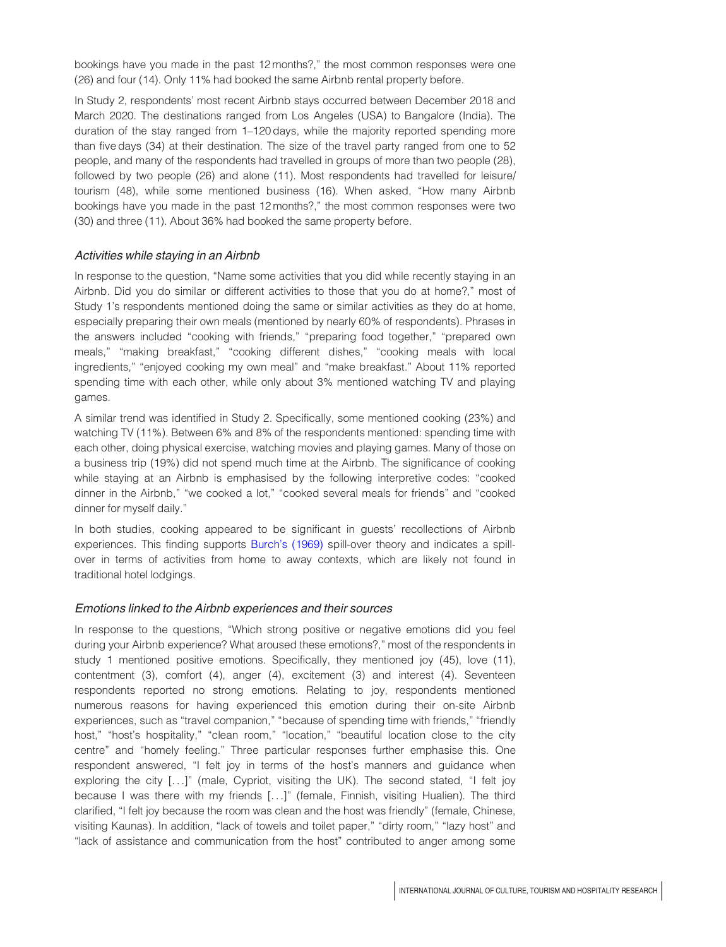bookings have you made in the past 12 months?," the most common responses were one (26) and four (14). Only 11% had booked the same Airbnb rental property before.

In Study 2, respondents' most recent Airbnb stays occurred between December 2018 and March 2020. The destinations ranged from Los Angeles (USA) to Bangalore (India). The duration of the stay ranged from 1–120 days, while the majority reported spending more than five days (34) at their destination. The size of the travel party ranged from one to 52 people, and many of the respondents had travelled in groups of more than two people (28), followed by two people (26) and alone (11). Most respondents had travelled for leisure/ tourism (48), while some mentioned business (16). When asked, "How many Airbnb bookings have you made in the past 12 months?," the most common responses were two (30) and three (11). About 36% had booked the same property before.

# Activities while staying in an Airbnb

In response to the question, "Name some activities that you did while recently staying in an Airbnb. Did you do similar or different activities to those that you do at home?," most of Study 1's respondents mentioned doing the same or similar activities as they do at home, especially preparing their own meals (mentioned by nearly 60% of respondents). Phrases in the answers included "cooking with friends," "preparing food together," "prepared own meals," "making breakfast," "cooking different dishes," "cooking meals with local ingredients," "enjoyed cooking my own meal" and "make breakfast." About 11% reported spending time with each other, while only about 3% mentioned watching TV and playing games.

A similar trend was identified in Study 2. Specifically, some mentioned cooking (23%) and watching TV (11%). Between 6% and 8% of the respondents mentioned: spending time with each other, doing physical exercise, watching movies and playing games. Many of those on a business trip (19%) did not spend much time at the Airbnb. The significance of cooking while staying at an Airbnb is emphasised by the following interpretive codes: "cooked dinner in the Airbnb," "we cooked a lot," "cooked several meals for friends" and "cooked dinner for myself daily."

In both studies, cooking appeared to be significant in guests' recollections of Airbnb experiences. This finding supports [Burch's \(1969\)](#page-9-2) spill-over theory and indicates a spillover in terms of activities from home to away contexts, which are likely not found in traditional hotel lodgings.

#### Emotions linked to the Airbnb experiences and their sources

In response to the questions, "Which strong positive or negative emotions did you feel during your Airbnb experience? What aroused these emotions?," most of the respondents in study 1 mentioned positive emotions. Specifically, they mentioned joy (45), love (11), contentment (3), comfort (4), anger (4), excitement (3) and interest (4). Seventeen respondents reported no strong emotions. Relating to joy, respondents mentioned numerous reasons for having experienced this emotion during their on-site Airbnb experiences, such as "travel companion," "because of spending time with friends," "friendly host," "host's hospitality," "clean room," "location," "beautiful location close to the city centre" and "homely feeling." Three particular responses further emphasise this. One respondent answered, "I felt joy in terms of the host's manners and guidance when exploring the city [...]" (male, Cypriot, visiting the UK). The second stated, "I felt joy because I was there with my friends [...]" (female, Finnish, visiting Hualien). The third clarified, "I felt joy because the room was clean and the host was friendly" (female, Chinese, visiting Kaunas). In addition, "lack of towels and toilet paper," "dirty room," "lazy host" and "lack of assistance and communication from the host" contributed to anger among some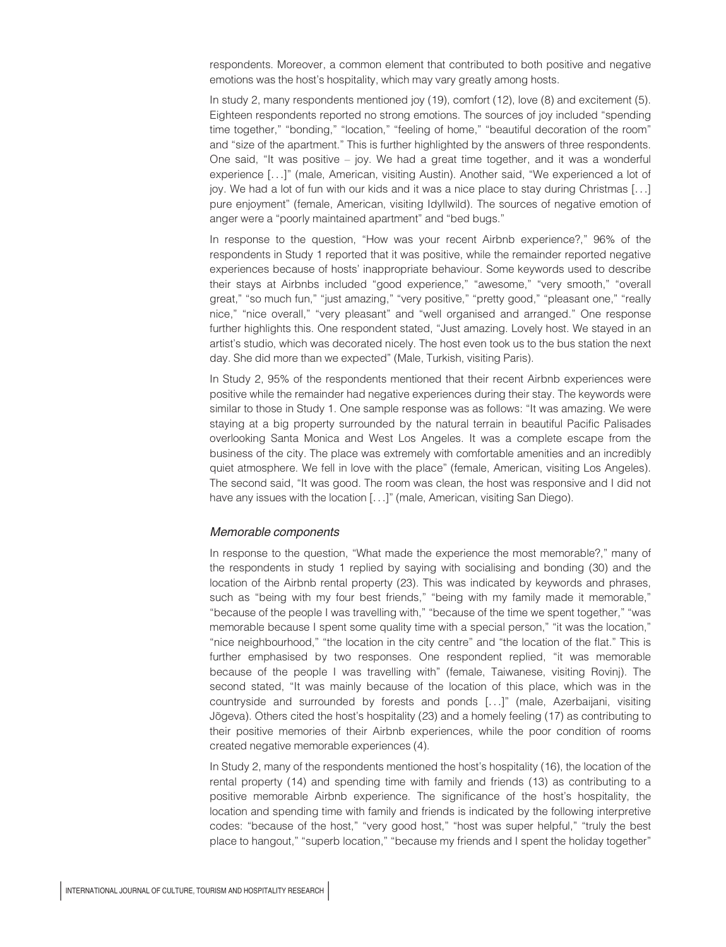respondents. Moreover, a common element that contributed to both positive and negative emotions was the host's hospitality, which may vary greatly among hosts.

In study 2, many respondents mentioned joy (19), comfort (12), love (8) and excitement (5). Eighteen respondents reported no strong emotions. The sources of joy included "spending time together," "bonding," "location," "feeling of home," "beautiful decoration of the room" and "size of the apartment." This is further highlighted by the answers of three respondents. One said, "It was positive – joy. We had a great time together, and it was a wonderful experience [...]" (male, American, visiting Austin). Another said, "We experienced a lot of joy. We had a lot of fun with our kids and it was a nice place to stay during Christmas [...] pure enjoyment" (female, American, visiting Idyllwild). The sources of negative emotion of anger were a "poorly maintained apartment" and "bed bugs."

In response to the question, "How was your recent Airbnb experience?," 96% of the respondents in Study 1 reported that it was positive, while the remainder reported negative experiences because of hosts' inappropriate behaviour. Some keywords used to describe their stays at Airbnbs included "good experience," "awesome," "very smooth," "overall great," "so much fun," "just amazing," "very positive," "pretty good," "pleasant one," "really nice," "nice overall," "very pleasant" and "well organised and arranged." One response further highlights this. One respondent stated, "Just amazing. Lovely host. We stayed in an artist's studio, which was decorated nicely. The host even took us to the bus station the next day. She did more than we expected" (Male, Turkish, visiting Paris).

In Study 2, 95% of the respondents mentioned that their recent Airbnb experiences were positive while the remainder had negative experiences during their stay. The keywords were similar to those in Study 1. One sample response was as follows: "It was amazing. We were staying at a big property surrounded by the natural terrain in beautiful Pacific Palisades overlooking Santa Monica and West Los Angeles. It was a complete escape from the business of the city. The place was extremely with comfortable amenities and an incredibly quiet atmosphere. We fell in love with the place" (female, American, visiting Los Angeles). The second said, "It was good. The room was clean, the host was responsive and I did not have any issues with the location [...]" (male, American, visiting San Diego).

#### Memorable components

In response to the question, "What made the experience the most memorable?," many of the respondents in study 1 replied by saying with socialising and bonding (30) and the location of the Airbnb rental property (23). This was indicated by keywords and phrases, such as "being with my four best friends," "being with my family made it memorable," "because of the people I was travelling with," "because of the time we spent together," "was memorable because I spent some quality time with a special person," "it was the location," "nice neighbourhood," "the location in the city centre" and "the location of the flat." This is further emphasised by two responses. One respondent replied, "it was memorable because of the people I was travelling with" (female, Taiwanese, visiting Rovinj). The second stated, "It was mainly because of the location of this place, which was in the countryside and surrounded by forests and ponds [...]" (male, Azerbaijani, visiting Jõgeva). Others cited the host's hospitality (23) and a homely feeling (17) as contributing to their positive memories of their Airbnb experiences, while the poor condition of rooms created negative memorable experiences (4).

In Study 2, many of the respondents mentioned the host's hospitality (16), the location of the rental property (14) and spending time with family and friends (13) as contributing to a positive memorable Airbnb experience. The significance of the host's hospitality, the location and spending time with family and friends is indicated by the following interpretive codes: "because of the host," "very good host," "host was super helpful," "truly the best place to hangout," "superb location," "because my friends and I spent the holiday together"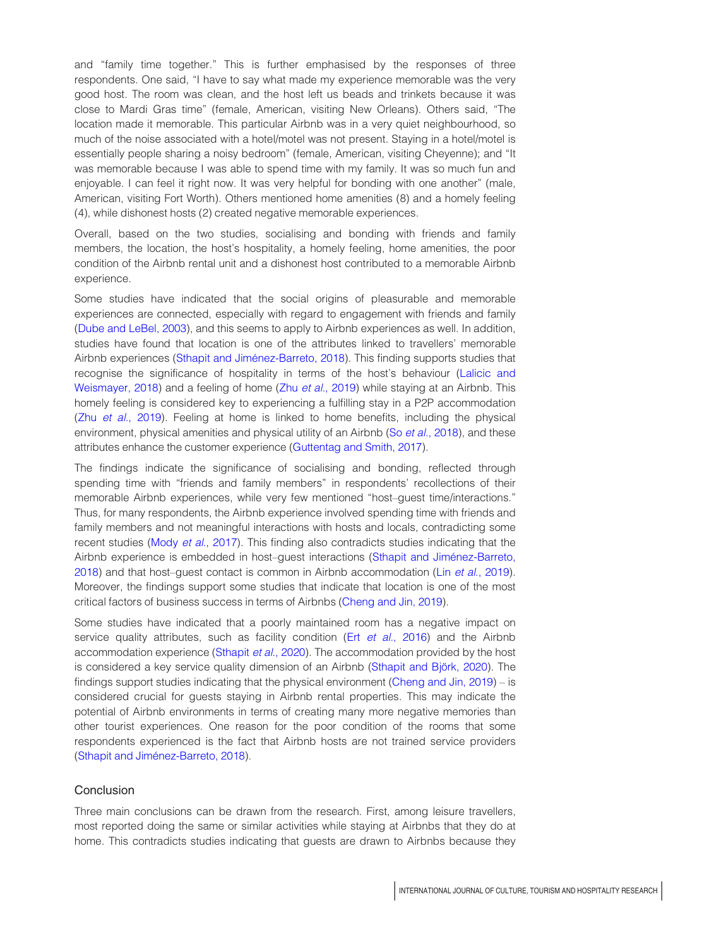and "family time together." This is further emphasised by the responses of three respondents. One said, "I have to say what made my experience memorable was the very good host. The room was clean, and the host left us beads and trinkets because it was close to Mardi Gras time" (female, American, visiting New Orleans). Others said, "The location made it memorable. This particular Airbnb was in a very quiet neighbourhood, so much of the noise associated with a hotel/motel was not present. Staying in a hotel/motel is essentially people sharing a noisy bedroom" (female, American, visiting Cheyenne); and "It was memorable because I was able to spend time with my family. It was so much fun and enjoyable. I can feel it right now. It was very helpful for bonding with one another" (male, American, visiting Fort Worth). Others mentioned home amenities (8) and a homely feeling (4), while dishonest hosts (2) created negative memorable experiences.

Overall, based on the two studies, socialising and bonding with friends and family members, the location, the host's hospitality, a homely feeling, home amenities, the poor condition of the Airbnb rental unit and a dishonest host contributed to a memorable Airbnb experience.

Some studies have indicated that the social origins of pleasurable and memorable experiences are connected, especially with regard to engagement with friends and family ([Dube and LeBel, 2003\)](#page-9-13), and this seems to apply to Airbnb experiences as well. In addition, studies have found that location is one of the attributes linked to travellers' memorable Airbnb experiences (Sthapit and Jiménez-Barreto, 2018). This finding supports studies that recognise the significance of hospitality in terms of the host's behaviour [\(Lalicic and](#page-10-5) [Weismayer, 2018\)](#page-10-5) and a feeling of home (Zhu et al.[, 2019\)](#page-11-9) while staying at an Airbnb. This homely feeling is considered key to experiencing a fulfilling stay in a P2P accommodation (Zhu et al.[, 2019](#page-11-9)). Feeling at home is linked to home benefits, including the physical environment, physical amenities and physical utility of an Airbnb (So et al.[, 2018\)](#page-10-14), and these attributes enhance the customer experience [\(Guttentag and Smith, 2017](#page-10-15)).

The findings indicate the significance of socialising and bonding, reflected through spending time with "friends and family members" in respondents' recollections of their memorable Airbnb experiences, while very few mentioned "host–guest time/interactions." Thus, for many respondents, the Airbnb experience involved spending time with friends and family members and not meaningful interactions with hosts and locals, contradicting some recent studies (Mody et al.[, 2017](#page-10-16)). This finding also contradicts studies indicating that the Airbnb experience is embedded in host-guest interactions (Sthapit and Jiménez-Barreto, [2018\)](#page-11-2) and that host–guest contact is common in Airbnb accommodation (Lin et al.[, 2019](#page-10-17)). Moreover, the findings support some studies that indicate that location is one of the most critical factors of business success in terms of Airbnbs ([Cheng and Jin, 2019\)](#page-9-14).

Some studies have indicated that a poorly maintained room has a negative impact on service quality attributes, such as facility condition (Ert et al.[, 2016\)](#page-10-18) and the Airbnb accommodation experience ([Sthapit](#page-11-4) et al., 2020). The accommodation provided by the host is considered a key service quality dimension of an Airbnb (Sthapit and Björk, 2020). The findings support studies indicating that the physical environment ([Cheng and Jin, 2019](#page-9-14)) – is considered crucial for guests staying in Airbnb rental properties. This may indicate the potential of Airbnb environments in terms of creating many more negative memories than other tourist experiences. One reason for the poor condition of the rooms that some respondents experienced is the fact that Airbnb hosts are not trained service providers (Sthapit and Jiménez-Barreto, 2018).

# Conclusion

Three main conclusions can be drawn from the research. First, among leisure travellers, most reported doing the same or similar activities while staying at Airbnbs that they do at home. This contradicts studies indicating that guests are drawn to Airbnbs because they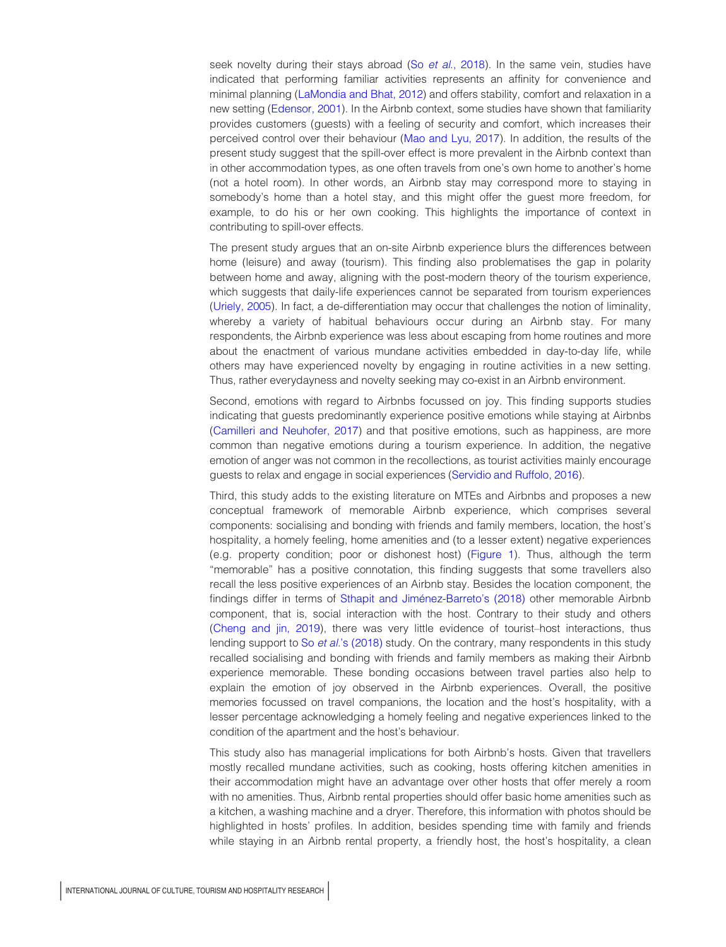seek novelty during their stays abroad (So et al.[, 2018\)](#page-10-14). In the same vein, studies have indicated that performing familiar activities represents an affinity for convenience and minimal planning ([LaMondia and Bhat, 2012\)](#page-10-19) and offers stability, comfort and relaxation in a new setting [\(Edensor, 2001](#page-9-15)). In the Airbnb context, some studies have shown that familiarity provides customers (guests) with a feeling of security and comfort, which increases their perceived control over their behaviour [\(Mao and Lyu, 2017\)](#page-10-20). In addition, the results of the present study suggest that the spill-over effect is more prevalent in the Airbnb context than in other accommodation types, as one often travels from one's own home to another's home (not a hotel room). In other words, an Airbnb stay may correspond more to staying in somebody's home than a hotel stay, and this might offer the guest more freedom, for example, to do his or her own cooking. This highlights the importance of context in contributing to spill-over effects.

The present study argues that an on-site Airbnb experience blurs the differences between home (leisure) and away (tourism). This finding also problematises the gap in polarity between home and away, aligning with the post-modern theory of the tourism experience, which suggests that daily-life experiences cannot be separated from tourism experiences [\(Uriely, 2005](#page-11-10)). In fact, a de-differentiation may occur that challenges the notion of liminality, whereby a variety of habitual behaviours occur during an Airbnb stay. For many respondents, the Airbnb experience was less about escaping from home routines and more about the enactment of various mundane activities embedded in day-to-day life, while others may have experienced novelty by engaging in routine activities in a new setting. Thus, rather everydayness and novelty seeking may co-exist in an Airbnb environment.

Second, emotions with regard to Airbnbs focussed on joy. This finding supports studies indicating that guests predominantly experience positive emotions while staying at Airbnbs [\(Camilleri and Neuhofer, 2017\)](#page-9-16) and that positive emotions, such as happiness, are more common than negative emotions during a tourism experience. In addition, the negative emotion of anger was not common in the recollections, as tourist activities mainly encourage guests to relax and engage in social experiences ([Servidio and Ruffolo, 2016](#page-10-21)).

Third, this study adds to the existing literature on MTEs and Airbnbs and proposes a new conceptual framework of memorable Airbnb experience, which comprises several components: socialising and bonding with friends and family members, location, the host's hospitality, a homely feeling, home amenities and (to a lesser extent) negative experiences (e.g. property condition; poor or dishonest host) [\(Figure 1\)](#page-8-0). Thus, although the term "memorable" has a positive connotation, this finding suggests that some travellers also recall the less positive experiences of an Airbnb stay. Besides the location component, the findings differ in terms of Sthapit and Jiménez-Barreto's (2018) other memorable Airbnb component, that is, social interaction with the host. Contrary to their study and others [\(Cheng and jin, 2019](#page-9-14)), there was very little evidence of tourist–host interactions, thus lending support to So *et al.*['s \(2018\)](#page-10-14) study. On the contrary, many respondents in this study recalled socialising and bonding with friends and family members as making their Airbnb experience memorable. These bonding occasions between travel parties also help to explain the emotion of joy observed in the Airbnb experiences. Overall, the positive memories focussed on travel companions, the location and the host's hospitality, with a lesser percentage acknowledging a homely feeling and negative experiences linked to the condition of the apartment and the host's behaviour.

This study also has managerial implications for both Airbnb's hosts. Given that travellers mostly recalled mundane activities, such as cooking, hosts offering kitchen amenities in their accommodation might have an advantage over other hosts that offer merely a room with no amenities. Thus, Airbnb rental properties should offer basic home amenities such as a kitchen, a washing machine and a dryer. Therefore, this information with photos should be highlighted in hosts' profiles. In addition, besides spending time with family and friends while staying in an Airbnb rental property, a friendly host, the host's hospitality, a clean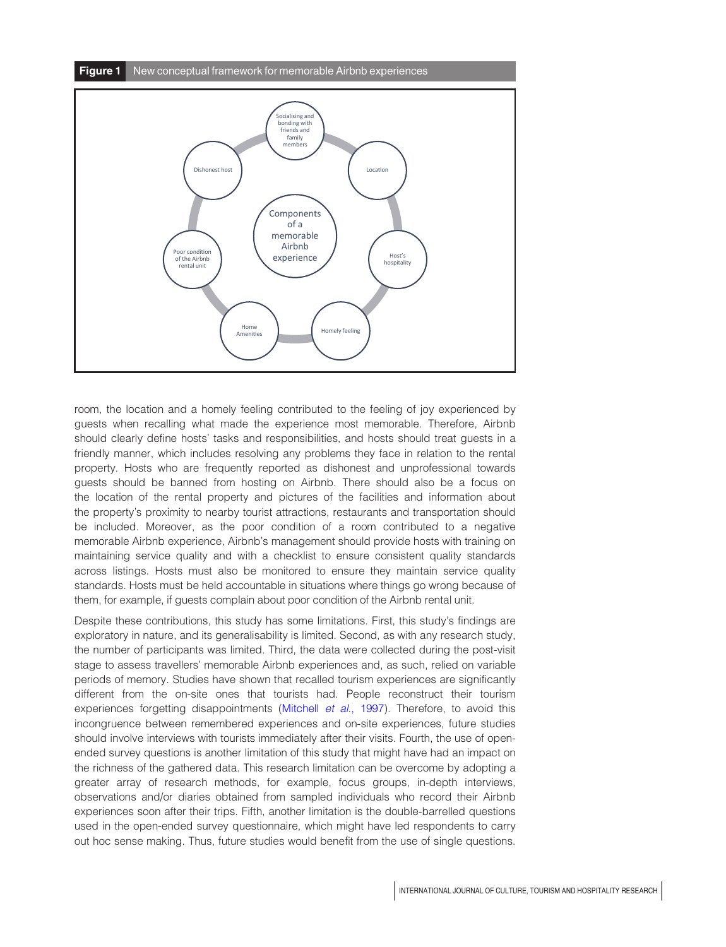<span id="page-8-0"></span>

room, the location and a homely feeling contributed to the feeling of joy experienced by guests when recalling what made the experience most memorable. Therefore, Airbnb should clearly define hosts' tasks and responsibilities, and hosts should treat guests in a friendly manner, which includes resolving any problems they face in relation to the rental property. Hosts who are frequently reported as dishonest and unprofessional towards guests should be banned from hosting on Airbnb. There should also be a focus on the location of the rental property and pictures of the facilities and information about the property's proximity to nearby tourist attractions, restaurants and transportation should be included. Moreover, as the poor condition of a room contributed to a negative memorable Airbnb experience, Airbnb's management should provide hosts with training on maintaining service quality and with a checklist to ensure consistent quality standards across listings. Hosts must also be monitored to ensure they maintain service quality standards. Hosts must be held accountable in situations where things go wrong because of them, for example, if guests complain about poor condition of the Airbnb rental unit.

Despite these contributions, this study has some limitations. First, this study's findings are exploratory in nature, and its generalisability is limited. Second, as with any research study, the number of participants was limited. Third, the data were collected during the post-visit stage to assess travellers' memorable Airbnb experiences and, as such, relied on variable periods of memory. Studies have shown that recalled tourism experiences are significantly different from the on-site ones that tourists had. People reconstruct their tourism experiences forgetting disappointments [\(Mitchell](#page-10-22) et al., 1997). Therefore, to avoid this incongruence between remembered experiences and on-site experiences, future studies should involve interviews with tourists immediately after their visits. Fourth, the use of openended survey questions is another limitation of this study that might have had an impact on the richness of the gathered data. This research limitation can be overcome by adopting a greater array of research methods, for example, focus groups, in-depth interviews, observations and/or diaries obtained from sampled individuals who record their Airbnb experiences soon after their trips. Fifth, another limitation is the double-barrelled questions used in the open-ended survey questionnaire, which might have led respondents to carry out hoc sense making. Thus, future studies would benefit from the use of single questions.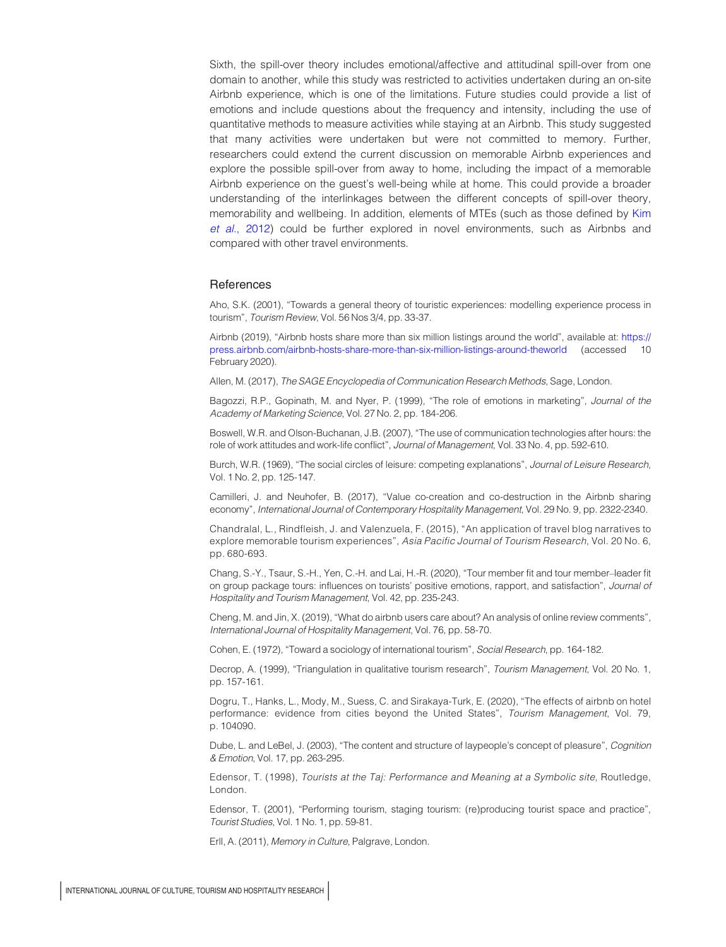Sixth, the spill-over theory includes emotional/affective and attitudinal spill-over from one domain to another, while this study was restricted to activities undertaken during an on-site Airbnb experience, which is one of the limitations. Future studies could provide a list of emotions and include questions about the frequency and intensity, including the use of quantitative methods to measure activities while staying at an Airbnb. This study suggested that many activities were undertaken but were not committed to memory. Further, researchers could extend the current discussion on memorable Airbnb experiences and explore the possible spill-over from away to home, including the impact of a memorable Airbnb experience on the guest's well-being while at home. This could provide a broader understanding of the interlinkages between the different concepts of spill-over theory, memorability and wellbeing. In addition, elements of MTEs (such as those defined by [Kim](#page-10-7) et al.[, 2012](#page-10-7)) could be further explored in novel environments, such as Airbnbs and compared with other travel environments.

#### References

<span id="page-9-8"></span>Aho, S.K. (2001), "Towards a general theory of touristic experiences: modelling experience process in tourism", Tourism Review, Vol. 56 Nos 3/4, pp. 33-37.

<span id="page-9-4"></span>Airbnb (2019), "Airbnb hosts share more than six million listings around the world", available at: [https://](https://press.airbnb.com/airbnb-hosts-share-more-than-six-million-listings-around-theworld) [press.airbnb.com/airbnb-hosts-share-more-than-six-million-listings-around-theworld](https://press.airbnb.com/airbnb-hosts-share-more-than-six-million-listings-around-theworld) (accessed 10 February 2020).

<span id="page-9-11"></span>Allen, M. (2017), The SAGE Encyclopedia of Communication Research Methods, Sage, London.

<span id="page-9-7"></span>Bagozzi, R.P., Gopinath, M. and Nyer, P. (1999), "The role of emotions in marketing", Journal of the Academy of Marketing Science, Vol. 27 No. 2, pp. 184-206.

<span id="page-9-5"></span>Boswell, W.R. and Olson-Buchanan, J.B. (2007), "The use of communication technologies after hours: the role of work attitudes and work-life conflict", Journal of Management, Vol. 33 No. 4, pp. 592-610.

<span id="page-9-2"></span>Burch, W.R. (1969), "The social circles of leisure: competing explanations", Journal of Leisure Research, Vol. 1 No. 2, pp. 125-147.

<span id="page-9-16"></span>Camilleri, J. and Neuhofer, B. (2017), "Value co-creation and co-destruction in the Airbnb sharing economy", International Journal of Contemporary Hospitality Management, Vol. 29 No. 9, pp. 2322-2340.

<span id="page-9-1"></span>Chandralal, L., Rindfleish, J. and Valenzuela, F. (2015), "An application of travel blog narratives to explore memorable tourism experiences", Asia Pacific Journal of Tourism Research, Vol. 20 No. 6, pp. 680-693.

<span id="page-9-6"></span>Chang, S.-Y., Tsaur, S.-H., Yen, C.-H. and Lai, H.-R. (2020), "Tour member fit and tour member–leader fit on group package tours: influences on tourists' positive emotions, rapport, and satisfaction", Journal of Hospitality and Tourism Management, Vol. 42, pp. 235-243.

<span id="page-9-14"></span>Cheng, M. and Jin, X. (2019), "What do airbnb users care about? An analysis of online review comments", International Journal of Hospitality Management, Vol. 76, pp. 58-70.

<span id="page-9-0"></span>Cohen, E. (1972), "Toward a sociology of international tourism", Social Research, pp. 164-182.

<span id="page-9-12"></span>Decrop, A. (1999), "Triangulation in qualitative tourism research", Tourism Management, Vol. 20 No. 1, pp. 157-161.

<span id="page-9-3"></span>Dogru, T., Hanks, L., Mody, M., Suess, C. and Sirakaya-Turk, E. (2020), "The effects of airbnb on hotel performance: evidence from cities beyond the United States", Tourism Management, Vol. 79, p. 104090.

<span id="page-9-13"></span>Dube, L. and LeBel, J. (2003), "The content and structure of laypeople's concept of pleasure", Cognition & Emotion, Vol. 17, pp. 263-295.

<span id="page-9-10"></span>Edensor, T. (1998), Tourists at the Taj: Performance and Meaning at a Symbolic site, Routledge, London.

<span id="page-9-15"></span>Edensor, T. (2001), "Performing tourism, staging tourism: (re)producing tourist space and practice", Tourist Studies, Vol. 1 No. 1, pp. 59-81.

<span id="page-9-9"></span>Erll, A. (2011), Memory in Culture, Palgrave, London.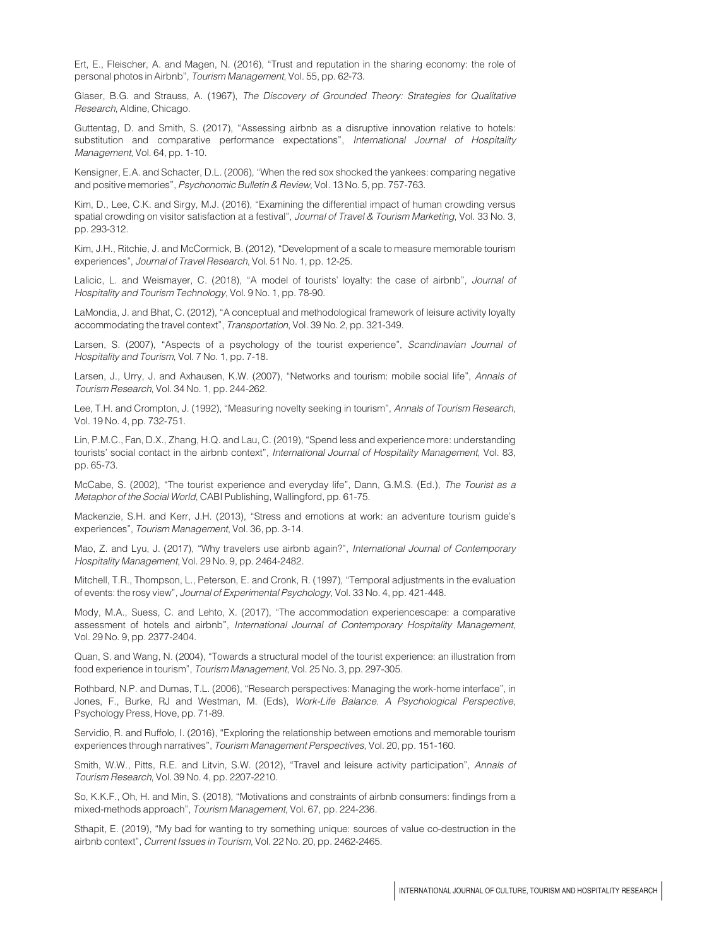<span id="page-10-18"></span>Ert, E., Fleischer, A. and Magen, N. (2016), "Trust and reputation in the sharing economy: the role of personal photos in Airbnb", Tourism Management, Vol. 55, pp. 62-73.

<span id="page-10-13"></span>Glaser, B.G. and Strauss, A. (1967), The Discovery of Grounded Theory: Strategies for Qualitative Research, Aldine, Chicago.

<span id="page-10-15"></span>Guttentag, D. and Smith, S. (2017), "Assessing airbnb as a disruptive innovation relative to hotels: substitution and comparative performance expectations", International Journal of Hospitality Management, Vol. 64, pp. 1-10.

<span id="page-10-8"></span>Kensigner, E.A. and Schacter, D.L. (2006), "When the red sox shocked the yankees: comparing negative and positive memories", Psychonomic Bulletin & Review, Vol. 13 No. 5, pp. 757-763.

<span id="page-10-10"></span>Kim, D., Lee, C.K. and Sirgy, M.J. (2016), "Examining the differential impact of human crowding versus spatial crowding on visitor satisfaction at a festival", Journal of Travel & Tourism Marketing, Vol. 33 No. 3, pp. 293-312.

<span id="page-10-7"></span>Kim, J.H., Ritchie, J. and McCormick, B. (2012), "Development of a scale to measure memorable tourism experiences", Journal of Travel Research, Vol. 51 No. 1, pp. 12-25.

<span id="page-10-5"></span>Lalicic, L. and Weismayer, C. (2018), "A model of tourists' loyalty: the case of airbnb", Journal of Hospitality and Tourism Technology, Vol. 9 No. 1, pp. 78-90.

<span id="page-10-19"></span>LaMondia, J. and Bhat, C. (2012), "A conceptual and methodological framework of leisure activity loyalty accommodating the travel context", Transportation, Vol. 39 No. 2, pp. 321-349.

<span id="page-10-12"></span>Larsen, S. (2007), "Aspects of a psychology of the tourist experience", Scandinavian Journal of Hospitality and Tourism, Vol. 7 No. 1, pp. 7-18.

<span id="page-10-4"></span>Larsen, J., Urry, J. and Axhausen, K.W. (2007), "Networks and tourism: mobile social life", Annals of Tourism Research, Vol. 34 No. 1, pp. 244-262.

<span id="page-10-0"></span>Lee, T.H. and Crompton, J. (1992), "Measuring novelty seeking in tourism", Annals of Tourism Research, Vol. 19 No. 4, pp. 732-751.

<span id="page-10-17"></span>Lin, P.M.C., Fan, D.X., Zhang, H.Q. and Lau, C. (2019), "Spend less and experience more: understanding tourists' social contact in the airbnb context", International Journal of Hospitality Management, Vol. 83, pp. 65-73.

<span id="page-10-2"></span>McCabe, S. (2002), "The tourist experience and everyday life", Dann, G.M.S. (Ed.), The Tourist as a Metaphor of the Social World, CABI Publishing, Wallingford, pp. 61-75.

<span id="page-10-11"></span>Mackenzie, S.H. and Kerr, J.H. (2013), "Stress and emotions at work: an adventure tourism guide's experiences", Tourism Management, Vol. 36, pp. 3-14.

<span id="page-10-20"></span>Mao, Z. and Lyu, J. (2017), "Why travelers use airbnb again?", International Journal of Contemporary Hospitality Management, Vol. 29 No. 9, pp. 2464-2482.

<span id="page-10-22"></span>Mitchell, T.R., Thompson, L., Peterson, E. and Cronk, R. (1997), "Temporal adjustments in the evaluation of events: the rosy view", Journal of Experimental Psychology, Vol. 33 No. 4, pp. 421-448.

<span id="page-10-16"></span>Mody, M.A., Suess, C. and Lehto, X. (2017), "The accommodation experiencescape: a comparative assessment of hotels and airbnb", International Journal of Contemporary Hospitality Management, Vol. 29 No. 9, pp. 2377-2404.

<span id="page-10-1"></span>Quan, S. and Wang, N. (2004), "Towards a structural model of the tourist experience: an illustration from food experience in tourism", Tourism Management, Vol. 25 No. 3, pp. 297-305.

<span id="page-10-9"></span>Rothbard, N.P. and Dumas, T.L. (2006), "Research perspectives: Managing the work-home interface", in Jones, F., Burke, RJ and Westman, M. (Eds), Work-Life Balance. A Psychological Perspective, Psychology Press, Hove, pp. 71-89.

<span id="page-10-21"></span>Servidio, R. and Ruffolo, I. (2016), "Exploring the relationship between emotions and memorable tourism experiences through narratives", Tourism Management Perspectives, Vol. 20, pp. 151-160.

<span id="page-10-3"></span>Smith, W.W., Pitts, R.E. and Litvin, S.W. (2012), "Travel and leisure activity participation", Annals of Tourism Research, Vol. 39 No. 4, pp. 2207-2210.

<span id="page-10-14"></span>So, K.K.F., Oh, H. and Min, S. (2018), "Motivations and constraints of airbnb consumers: findings from a mixed-methods approach", Tourism Management, Vol. 67, pp. 224-236.

<span id="page-10-6"></span>Sthapit, E. (2019), "My bad for wanting to try something unique: sources of value co-destruction in the airbnb context", Current Issues in Tourism, Vol. 22 No. 20, pp. 2462-2465.